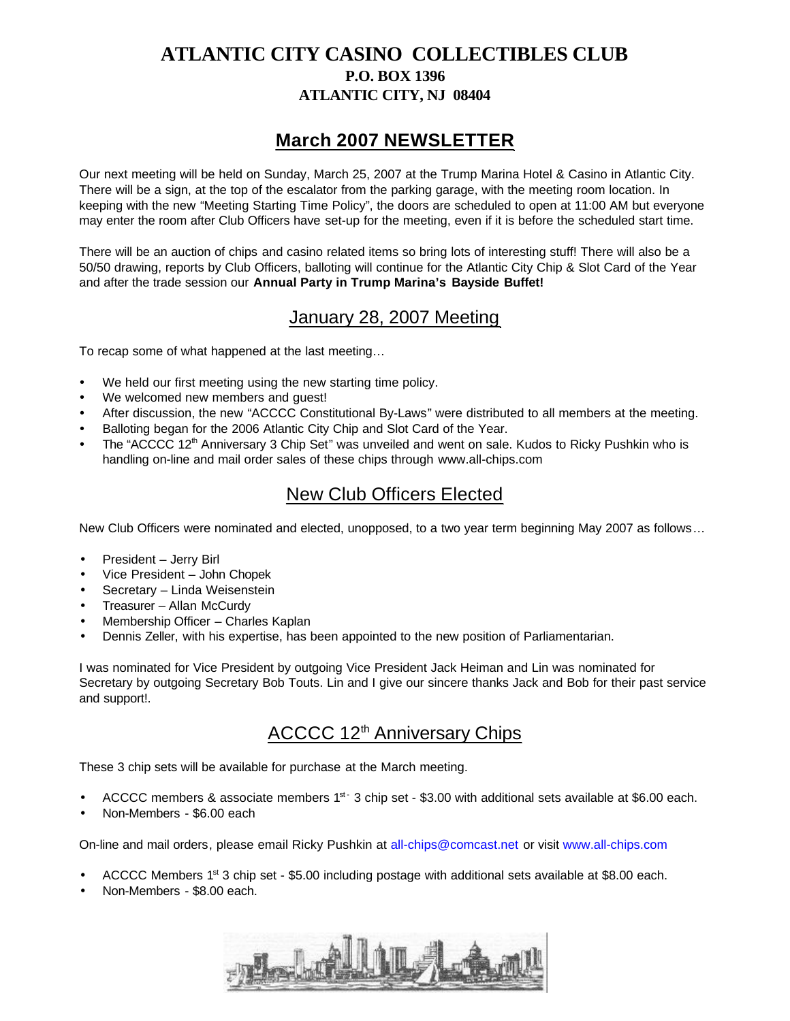### **ATLANTIC CITY CASINO COLLECTIBLES CLUB P.O. BOX 1396 ATLANTIC CITY, NJ 08404**

## **March 2007 NEWSLETTER**

Our next meeting will be held on Sunday, March 25, 2007 at the Trump Marina Hotel & Casino in Atlantic City. There will be a sign, at the top of the escalator from the parking garage, with the meeting room location. In keeping with the new "Meeting Starting Time Policy", the doors are scheduled to open at 11:00 AM but everyone may enter the room after Club Officers have set-up for the meeting, even if it is before the scheduled start time.

There will be an auction of chips and casino related items so bring lots of interesting stuff! There will also be a 50/50 drawing, reports by Club Officers, balloting will continue for the Atlantic City Chip & Slot Card of the Year and after the trade session our **Annual Party in Trump Marina's Bayside Buffet!**

#### January 28, 2007 Meeting

To recap some of what happened at the last meeting…

- We held our first meeting using the new starting time policy.
- We welcomed new members and guest!
- After discussion, the new "ACCCC Constitutional By-Laws" were distributed to all members at the meeting.
- Balloting began for the 2006 Atlantic City Chip and Slot Card of the Year.
- The "ACCCC 12<sup>th</sup> Anniversary 3 Chip Set" was unveiled and went on sale. Kudos to Ricky Pushkin who is handling on-line and mail order sales of these chips through www.all-chips.com

## New Club Officers Elected

New Club Officers were nominated and elected, unopposed, to a two year term beginning May 2007 as follows…

- President Jerry Birl
- Vice President John Chopek
- Secretary Linda Weisenstein
- Treasurer Allan McCurdy
- Membership Officer Charles Kaplan
- Dennis Zeller, with his expertise, has been appointed to the new position of Parliamentarian.

I was nominated for Vice President by outgoing Vice President Jack Heiman and Lin was nominated for Secretary by outgoing Secretary Bob Touts. Lin and I give our sincere thanks Jack and Bob for their past service and support!.

## ACCCC 12<sup>th</sup> Anniversary Chips

These 3 chip sets will be available for purchase at the March meeting.

- ACCCC members & associate members  $1^{st}$  3 chip set \$3.00 with additional sets available at \$6.00 each.
- Non-Members \$6.00 each

On-line and mail orders, please email Ricky Pushkin at all-chips@comcast.net or visit www.all-chips.com

- ACCCC Members 1<sup>st</sup> 3 chip set \$5.00 including postage with additional sets available at \$8.00 each.
- Non-Members \$8.00 each.